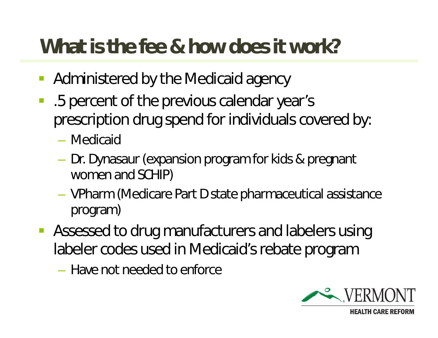## **What is the fee & how does it work?**

- Administered by the Medicaid agency
- .5 percent of the previous calendar year's prescription drug spend for individuals covered by:
	- Medicaid
	- Dr. Dynasaur (expansion program for kids & pregnant women and SCHIP)
	- VPharm (Medicare Part D state pharmaceutical assistance program)
- **Assessed to drug manufacturers and labelers using** labeler codes used in Medicaid's rebate program
	- Have not needed to enforce

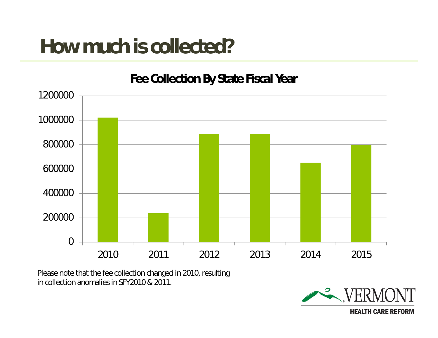## **How much is collected?**



Please note that the fee collection changed in 2010, resulting in collection anomalies in SFY2010 & 2011.

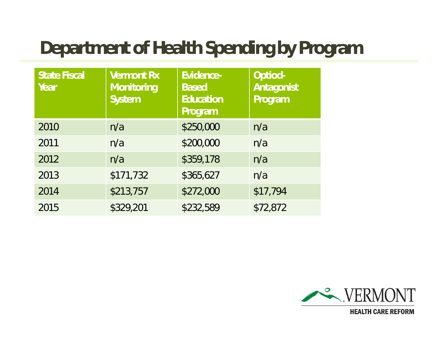## **Department of Health Spending by Program**

| <b>State Fiscal</b><br>Year | <b>Vermont Rx</b><br>Monitoring<br>System | Evidence-<br><b>Based</b><br>Education<br>Program | Optiod-<br>Antagonist<br>Program |
|-----------------------------|-------------------------------------------|---------------------------------------------------|----------------------------------|
| 2010                        | n/a                                       | \$250,000                                         | n/a                              |
| 2011                        | n/a                                       | \$200,000                                         | n/a                              |
| 2012                        | n/a                                       | \$359,178                                         | n/a                              |
| 2013                        | \$171,732                                 | \$365,627                                         | n/a                              |
| 2014                        | \$213,757                                 | \$272,000                                         | \$17,794                         |
| 2015                        | \$329,201                                 | \$232,589                                         | \$72,872                         |